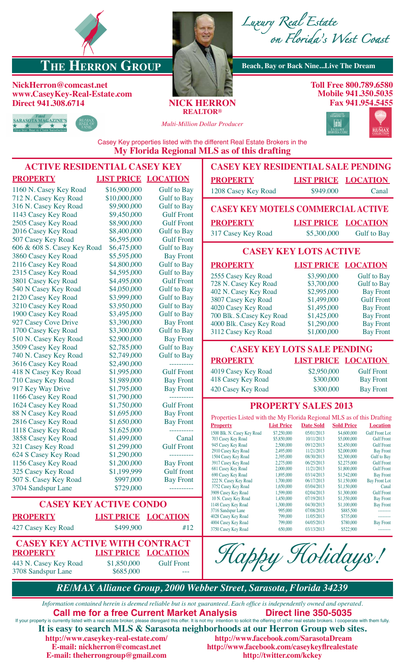

## **THE HERRON GROUP** Beach, Bay or Back Nine...Live The Dream

## **NickHerron@comcast.net www.CaseyKey-Real-Estate.com Direct 941.308.6714 NICK HERRON**





**Toll Free 800.789.6580 Mobile 941.350.5035 Fax 941.954.5455**



**REALTOR®**

*Multi-Million Dollar Producer*



Casey Key properties listed with the different Real Estate Brokers in the **My Florida Regional MLS as of this drafting**

| <b>ACTIVE RESIDENTIAL CASEY KEY</b>   |                            |                    | <b>CASEY KEY RESIDENTIAL SALE PENDING</b>                              |                          |                              |                            |                                        |
|---------------------------------------|----------------------------|--------------------|------------------------------------------------------------------------|--------------------------|------------------------------|----------------------------|----------------------------------------|
| <b>PROPERTY</b>                       | <b>LIST PRICE LOCATION</b> |                    | <b>PROPERTY</b>                                                        |                          | <b>LIST PRICE LOCATION</b>   |                            |                                        |
| 1160 N. Casey Key Road                | \$16,900,000               | <b>Gulf</b> to Bay | 1208 Casey Key Road                                                    |                          | \$949.000                    |                            | Canal                                  |
| 712 N. Casey Key Road                 | \$10,000,000               | <b>Gulf</b> to Bay |                                                                        |                          |                              |                            |                                        |
| 316 N. Casey Key Road                 | \$9,900,000                | <b>Gulf</b> to Bay | <b>CASEY KEY MOTELS COMMERCIAL ACTIVE</b>                              |                          |                              |                            |                                        |
| 1143 Casey Key Road                   | \$9,450,000                | <b>Gulf Front</b>  |                                                                        |                          |                              |                            |                                        |
| 2505 Casey Key Road                   | \$8,900,000                | <b>Gulf Front</b>  | <b>PROPERTY</b>                                                        |                          | <b>LIST PRICE</b>            |                            | <b>LOCATION</b>                        |
| 2016 Casey Key Road                   | \$8,400,000                | <b>Gulf</b> to Bay | 317 Casey Key Road                                                     |                          | \$5,300,000                  |                            | <b>Gulf</b> to Bay                     |
| 507 Casey Key Road                    | \$6,595,000                | <b>Gulf Front</b>  |                                                                        |                          |                              |                            |                                        |
| 606 & 608 S. Casey Key Road           | \$6,475,000                | <b>Gulf</b> to Bay |                                                                        |                          | <b>CASEY KEY LOTS ACTIVE</b> |                            |                                        |
| 3860 Casey Key Road                   | \$5,595,000                | <b>Bay Front</b>   |                                                                        |                          |                              |                            |                                        |
| 2116 Casey Key Road                   | \$4,800,000                | <b>Gulf</b> to Bay | <b>PROPERTY</b>                                                        |                          | <b>LIST PRICE LOCATION</b>   |                            |                                        |
| 2315 Casey Key Road                   | \$4,595,000                | <b>Gulf</b> to Bay | 2555 Casey Key Road                                                    |                          | \$3,990,000                  |                            | <b>Gulf</b> to Bay                     |
| 3801 Casey Key Road                   | \$4,495,000                | <b>Gulf Front</b>  | 728 N. Casey Key Road                                                  |                          | \$3,700,000                  |                            | <b>Gulf</b> to Bay                     |
| 540 N Casey Key Road                  | \$4,050,000                | <b>Gulf</b> to Bay | 402 N. Casey Key Road                                                  |                          | \$2,995,000                  |                            | <b>Bay Front</b>                       |
| 2120 Casey Key Road                   | \$3,999,000                | <b>Gulf</b> to Bay | 3807 Casey Key Road                                                    |                          | \$1,499,000                  |                            | <b>Gulf Front</b>                      |
| 3210 Casey Key Road                   | \$3,950,000                | <b>Gulf</b> to Bay | 4020 Casey Key Road                                                    |                          | \$1,495,000                  |                            | <b>Bay Front</b>                       |
| 1900 Casey Key Road                   | \$3,495,000                | <b>Gulf</b> to Bay | 700 Blk. S.Casey Key Road                                              |                          | \$1,425,000                  |                            | <b>Bay Front</b>                       |
| 927 Casey Cove Drive                  | \$3,390,000                | <b>Bay Front</b>   | 4000 Blk. Casey Key Road                                               |                          | \$1,290,000                  |                            | <b>Bay Front</b>                       |
| 1700 Casey Key Road                   | \$3,300,000                | <b>Gulf</b> to Bay | 3112 Casey Key Road                                                    |                          | \$1,000,000                  |                            | <b>Bay Front</b>                       |
| 510 N. Casey Key Road                 | \$2,900,000                | <b>Bay Front</b>   |                                                                        |                          |                              |                            |                                        |
| 3509 Casey Key Road                   | \$2,785,000                | <b>Gulf</b> to Bay | <b>CASEY KEY LOTS SALE PENDING</b>                                     |                          |                              |                            |                                        |
| 740 N. Casey Key Road                 | \$2,749,000                | <b>Gulf to Bay</b> | <b>PROPERTY</b>                                                        |                          | <b>LIST PRICE LOCATION</b>   |                            |                                        |
| 3616 Casey Key Road                   | \$2,490,000                |                    |                                                                        |                          |                              |                            |                                        |
| 418 N Casey Key Road                  | \$1,995,000                | <b>Gulf Front</b>  | 4019 Casey Key Road                                                    |                          | \$2,950,000                  |                            | <b>Gulf Front</b>                      |
| 710 Casey Key Road                    | \$1,989,000                | <b>Bay Front</b>   | 418 Casey Key Road                                                     |                          | \$300,000                    |                            | <b>Bay Front</b>                       |
| 917 Key Way Drive                     | \$1,795,000                | <b>Bay Front</b>   | 420 Casey Key Road                                                     |                          | \$300,000                    |                            | <b>Bay Front</b>                       |
| 1166 Casey Key Road                   | \$1,790,000                | -----------        |                                                                        |                          |                              |                            |                                        |
| 1624 Casey Key Road                   | \$1,750,000                | <b>Gulf Front</b>  | <b>PROPERTY SALES 2013</b>                                             |                          |                              |                            |                                        |
| 88 N Casey Key Road                   | \$1,695,000                | <b>Bay Front</b>   | Properties Listed with the My Florida Regional MLS as of this Drafting |                          |                              |                            |                                        |
| 2816 Casey Key Road                   | \$1,650,000                | <b>Bay Front</b>   | <b>Property</b>                                                        | <b>List Price</b>        | <b>Date Sold</b>             | <b>Sold Price</b>          | <b>Location</b>                        |
| 1118 Casey Key Road                   | \$1,625,000                |                    | 1500 Blk. N. Casey Key Road                                            | \$7,250,000              | 05/01/2013                   | \$4,600,000                | <b>Gulf Front Lot</b>                  |
| 3858 Casey Key Road                   | \$1,499,000                | Canal              | 703 Casey Key Road<br>945 Casey Key Road                               | \$5,850,000<br>2,500,000 | 10/11/2013<br>09/12/2013     | \$5,000,000<br>\$2,450,000 | <b>Gulf Front</b><br><b>Gulf Front</b> |
| 321 Casey Key Road                    | \$1,299,000                | <b>Gulf Front</b>  | 2910 Casey Key Road                                                    | 2,495,000                | 11/21/2013                   | \$2,000,000                | <b>Bay Front</b>                       |
| 624 S Casey Key Road                  | \$1,290,000                | ----------         | 1504 Casey Key Road                                                    | 2,395,000                | 08/30/2013                   | \$2,300,000                | <b>Gulf</b> to Bay                     |
| 1156 Casey Key Road                   | \$1,200,000                | <b>Bay Front</b>   | 3917 Casey Key Road<br>681 Casey Key Road                              | 2,275,000<br>2,000,000   | 06/25/2013<br>11/21/2013     | \$2,275,000<br>\$1,800,000 | <b>Gulf Front</b><br><b>Gulf Front</b> |
| 325 Casey Key Road                    | \$1,199,999                | <b>Gulf</b> front  | 690 Casey Key Road                                                     | 1,895,000                | 03/14/2013                   | \$1,542,000                | <b>Bay Front</b>                       |
| 507 S. Casey Key Road                 | \$997,000                  | <b>Bay Front</b>   | 222 N. Casey Key Road<br>3752 Casey Key Road                           | 1,700,000<br>1,650,000   | 06/17/2013<br>03/04/2013     | \$1,150,000<br>\$1,150,000 | <b>Bay Front Lot</b><br>Canal          |
| 3704 Sandspur Lane                    | \$729,000                  |                    | 3909 Casey Key Road                                                    | 1,599,000                | 02/04/2013                   | \$1,300,000                | <b>Gulf Front</b>                      |
|                                       |                            |                    | 10 N. Casey Key Road                                                   | 1,450,000                | 07/19/2013                   | \$1,350,000                | <b>Bay Front</b>                       |
| <b>CASEY KEY ACTIVE CONDO</b>         |                            |                    | 1148 Casey Key Road<br>3716 Sandspur Lane                              | 1,300,000<br>995,000     | 04/30/2013<br>07/08/2013     | \$1,100,000<br>\$885,500   | <b>Bay Front</b><br>                   |
| <b>PROPERTY</b>                       | <b>LIST PRICE</b>          | <b>LOCATION</b>    | 4028 Casey Key Road                                                    | 799,000                  | 11/05/2013                   | \$735,000                  | ----------                             |
| 427 Casey Key Road                    | \$499,900                  | #12                | 4004 Casey Key Road<br>3750 Casey Key Road                             | 799,000<br>650,000       | 04/05/2013<br>03/13/2013     | \$780,000<br>\$522,900     | <b>Bay Front</b>                       |
|                                       |                            |                    |                                                                        |                          |                              |                            |                                        |
| <b>CASEY KEY ACTIVE WITH CONTRACT</b> |                            |                    |                                                                        |                          |                              |                            |                                        |
| <b>PROPERTY</b>                       | <b>LIST PRICE</b>          | <b>LOCATION</b>    |                                                                        |                          | appy Holidays!               |                            |                                        |
| 443 N. Casey Key Road                 | \$1,850,000                | <b>Gulf Front</b>  |                                                                        |                          |                              |                            |                                        |
| 3708 Sandspur Lane                    | \$685,000                  |                    |                                                                        |                          |                              |                            |                                        |
|                                       |                            |                    |                                                                        |                          |                              |                            |                                        |
|                                       |                            |                    | RE/MAX Alliance Group, 2000 Webber Street, Sarasota, Florida 34239     |                          |                              |                            |                                        |
|                                       |                            |                    |                                                                        |                          |                              |                            |                                        |

*Information contained herein is deemed reliable but is not guaranteed. Each office is independently owned and operated.* **Call me for a free Current Market Analysis Direct line 350-5035** If your property is currently listed with a real estate broker, please disregard this offer. It is not my intention to solicit the offering of other real estate brokers. I cooperate with them fully. It is easy to search MLS & Sarasota neighborhoods at our Herron Group web sites.<br>http://www.caseykey-real-estate.com/<br>http://www.facebook.com/SarasotaDream http://www.facebook.com/SarasotaDream **E-mail: nickherron@comcast.net http://www.facebook.com/caseykeyflrealestate**

**E-mail: theherrongroup@gmail.com http://twitter.com/kckey**